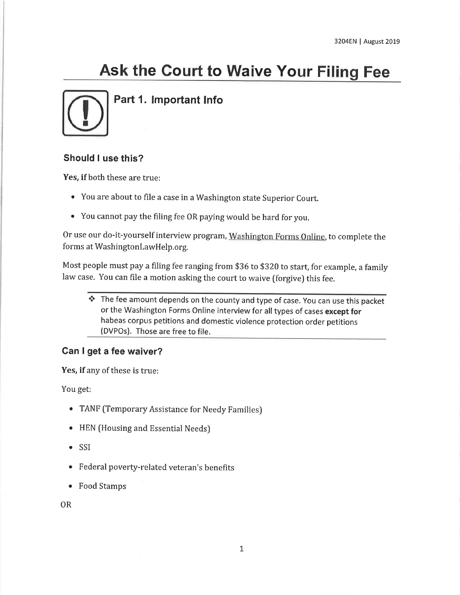# Ask the Court to Waive Your Filing Fee



Part 1. lmportant lnfo

#### Should I use this?

Yes, if both these are true:

- You are about to file a case in a Washington state Superior Court.
- You cannot pay the filing fee OR paying would be hard for you,

Or use our do-it-yourself interview program, Washington Forms Online, to complete the forms at WashingtonlawHelp.org.

Most people must pay a filing fee ranging from \$36 to \$320 to start, for example, a family law case. You can file a motion asking the court to waive (forgive) this fee.

\* The fee amount depends on the county and type of case. You can use this packet or the Washington Forms Online interview for all types of cases except for habeas corpus petitions and domestic violence protection order petitions (DVPOs). Those are free to file.

#### Gan I get a fee waiver?

Yes, if any of these is true:

You get;

- TANF (Temporary Assistance for Needy Families)
- o HEN (Housing and Essential Needs)
- o SSI
- o Federal poverty-related veteran's benefits
- . Food Stamps

OR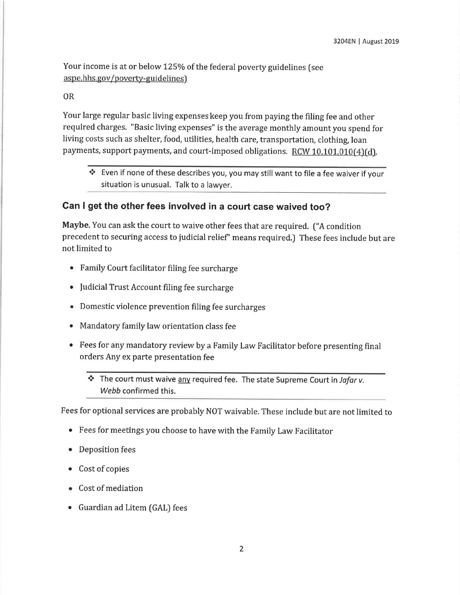Your income is at or below 125% of the federal poverty guidelines (see aspe.hhs.gov/poverty-guidelines)

#### OR

Your large regular basic living expenses keep you from paying the filing fee and other required charges. "Basic living expenses" is the average monthly amount you spend for living costs such as shelter, food, utilities, health care, transportation, clothing, loan payments, support payments, and court-imposed obligations. RCW 10.101.010(4)(d).

 $\cdot$  Even if none of these describes you, you may still want to file a fee waiver if your situation is unusual. Talk to a lawyer.

#### Gan I get the other fees involved in a court case waived too?

Maybe. You can ask the court to waive other fees that are required. ("A condition precedent to securing access to judicial relief' means required.) These fees include but are not limited to

- . Family Court facilitator filing fee surcharge
- Judicial Trust Account filing fee surcharge
- e Domestic violence prevention filing fee surcharges
- o Mandatory family law orientation class fee
- o Fees for any mandatory review by a Family Law Facilitator before presenting final orders Any ex parte presentation fee
	- \* The court must waive any required fee. The state Supreme Court in Jafar v. Webb confirmed this.

Fees for optional services are probably NOT waivable. These include but are not limited to

- o Fees for meetings you choose to have with the Family Law Facilitator
- Deposition fees
- Cost of copies
- Cost of mediation
- . Guardian ad Litem (GAL) fees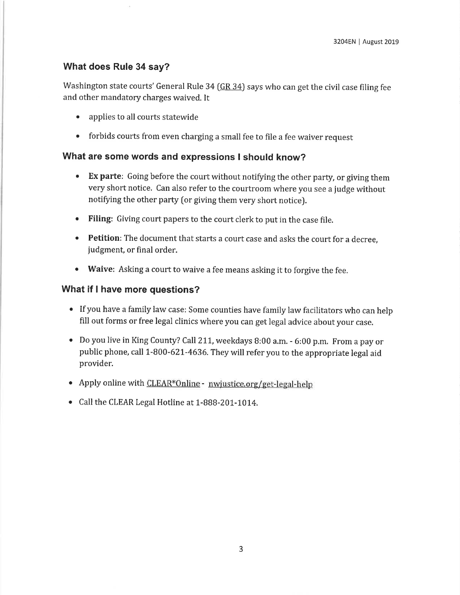#### What does Rule 34 say?

Washington state courts' General Rule 34 ( $GR$  34) says who can get the civil case filing fee and other mandatory charges waived. It

- . applies to all courts statewide
- forbids courts from even charging a small fee to file a fee waiver request

#### What are some words and expressions I should know?

- Ex parte: Going before the court without notifying the other party, or giving them very short notice. Can also refer to the courtroom where you see a judge without notifying the other party (or giving them very short notice).
- o Filing: Giving court papers to the court clerk to put in the case file.
- Petition: The document that starts a court case and asks the court for a decree, judgment, or final order.
- Waive: Asking a court to waive a fee means asking it to forgive the fee.

#### What if I have more questions?

- . If you have a family law case: Some counties have family law facilitators who can help fill out forms or free legal clinics where you can get legal advice about your case,
- . Do you live in King county? call2\1, weekdays B:00 a,m. 6:00 p.m. From a pay or public phone, call 1-800-62L-4636. They will refer you to the appropriate legal aid provider.
- . Apply online with CLEAR\*Online nwjustice.org/get-legal-help
- Call the CLEAR Legal Hotline at 1-888-201-1014.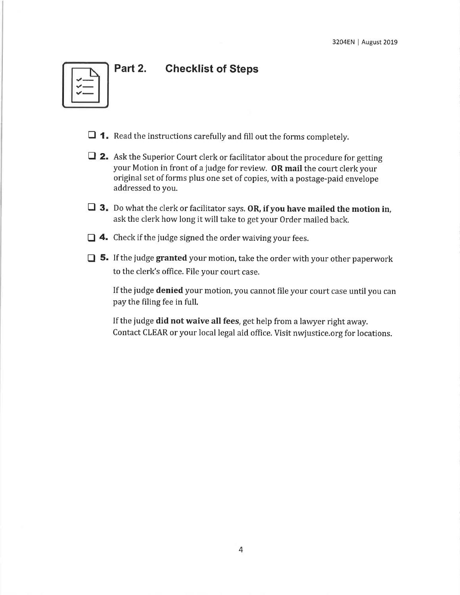## Part 2. Checklist of Steps



- $\Box$  1. Read the instructions carefully and fill out the forms completely.
- $\Box$  2. Ask the Superior Court clerk or facilitator about the procedure for getting your Motion in front of a judge for review. OR mail the court clerk your original set of forms plus one set of copies, with a postage-paid envelope addressed to you.
- $\Box$  3. Do what the clerk or facilitator says. OR, if you have mailed the motion in, ask the clerk how long it will take to get your Order mailed back.
- $\Box$  4. Check if the judge signed the order waiving your fees.
- $\Box$  5. If the judge granted your motion, take the order with your other paperwork to the clerk's office. File your court case.

If the judge denied your motion, you cannot file your court case until you can pay the filing fee in full.

If the judge did not waive all fees, get help from a lawyer right away. Contact CLEAR or your local legal aid office. Visit nwjustice.org for locations.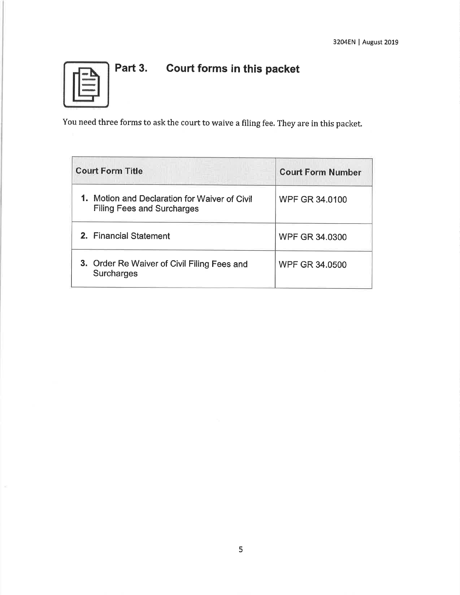

## Part 3. Court forms in this packet

You need three forms to ask the court to waive a filing fee. They are in this packet.

| <b>Court Form Title</b>                                                            | <b>Court Form Number</b> |
|------------------------------------------------------------------------------------|--------------------------|
| 1. Motion and Declaration for Waiver of Civil<br><b>Filing Fees and Surcharges</b> | <b>WPF GR 34.0100</b>    |
| 2. Financial Statement                                                             | <b>WPF GR 34,0300</b>    |
| 3. Order Re Waiver of Civil Filing Fees and<br><b>Surcharges</b>                   | <b>WPF GR 34.0500</b>    |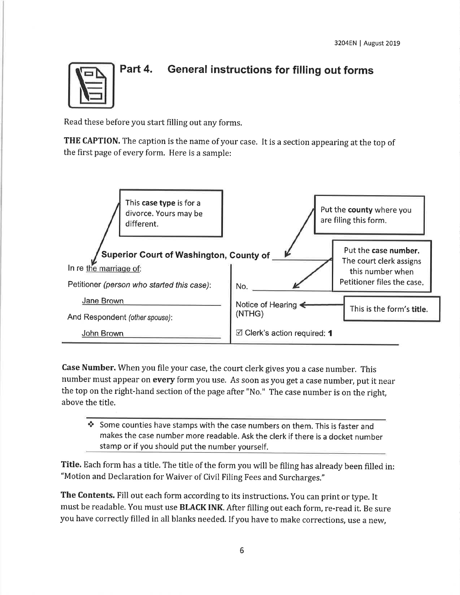

## Part 4. General instructions for filling out forms

Read these before you start filling out any forms,

THE CAPTION. The caption is the name of your case. It is a section appearing at the top of the first page of every form. Here is a sample:



Case Number. When you file your case, the court clerk gives you a case number. This number must appear on every form you use. As soon as you get a case number, put it near the top on the right-hand section of the page after "No." The case number is on the right, above the title.

\* Some counties have stamps with the case numbers on them. This is faster and makes the case number more readable. Ask the clerk if there is a docket number stamp or if you should put the number yourself.

Title. Each form has a title. The title of the form you will be filing has already been filled in: "Motion and Declaration for Waiver of Civil Filing Fees and Surcharges."

The Contents. Fill out each form according to its instructions. You can print or type. It must be readable. You must use BLACK INK. After filling out each form, re-read it. Be sure you have correctly filled in all blanks needed. If you have to make corrections, use a new,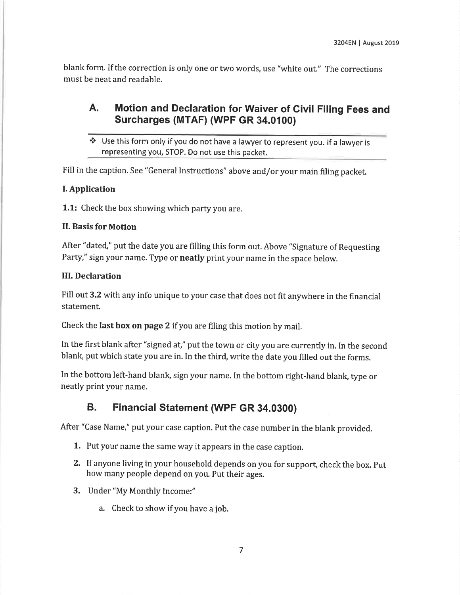blank form. If the correction is only one or two words, use "white out." The corrections must be neat and readable.

## A. Motion and Declaration for Waiver of Civil Filing Fees and Surcharges (MTAF) (WPF GR 34.0100)

\* Use this form only if you do not have a lawyer to represent you. lf a lawyer is representing vou, STOP. Do not use this packet.

Fill in the caption. See "General Instructions" above and/or your main filing packet.

#### I. Application

1.1: Check the box showing which party you are.

#### II. Basis for Motion

After "dated," put the date you are filling this form out. Above "signature of Requesting Party," sign your name. Type or **neatly** print your name in the space below.

#### III. Declaration

Fill out 3.2 with any info unique to your case that does not fit anywhere in the financial statement.

Check the last box on page 2 if you are filing this motion by mail.

In the first blank after "signed at," put the town or city you are currently in. In the second blank, put which state you are in. In the third, write the date you filled out the forms.

In the bottom left-hand blank, sign your name. In the bottom right-hand blank, type or neatly print your name.

## B. Financial Statement (WPF GR 34.0300)

After "Case Name," put your case caption. Put the case number in the blank provided.

- 1. Put your name the same way it appears in the case caption.
- 2. If anyone living in your household depends on you for support, check the box. Put how many people depend on you. Put their ages.
- 3. Under "My Monthly Income:"
	- a. Check to show if you have a job.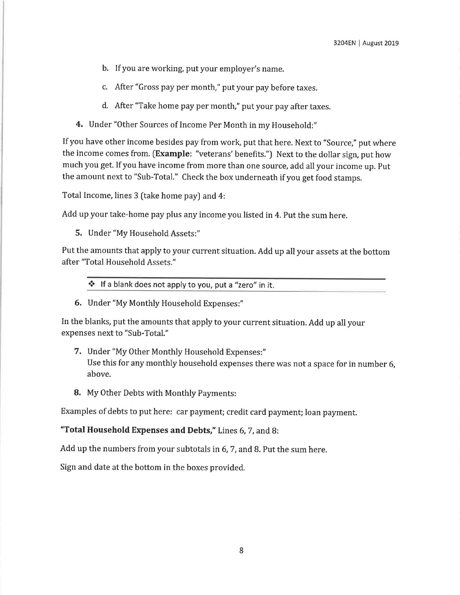- b. If you are working, put your employer's name.
- c. After "Gross pay per month," put your pay before taxes.
- d. After "Take home pay per month," put your pay after taxes.
- 4. Under "Other Sources of Income Per Month in my Household:"

If you have other income besides pay from work, put that here. Next to "Source," put where the income comes from. [Example: "veterans' benefits.") Next to the dollar sign, put how much you get. If you have income from more than one source, add all your income up. Put the amount next to "Sub-Total." Check the box underneath if you get food stamps.

Total Income, lines 3 (take home pay) and 4:

Add up your take-home pay plus any income you listed in 4. Put the sum here.

5. Under "My Household Assets:"

Put the amounts that apply to your current situation. Add up all your assets at the bottom after "Total Household Assets."

 $\cdot$  If a blank does not apply to you, put a "zero" in it.

6. Under "My Monthly Household Expenses:"

In the blanks, put the amounts that apply to your current situation. Add up all your expenses next to "Sub-Total."

- 7. Under "My Other Monthly Household Expenses:" Use this for any monthly household expenses there was not a space for in number 6, above.
- 8. My Other Debts with Monthly Payments:

Examples of debts to put here: car payment; credit card payment; loan payment.

"Total Household Expenses and Debts," Lines 6, 7, and 8:

Add up the numbers from your subtotals in 6,7, and B. Put the sum here.

Sign and date at the bottom in the boxes provided.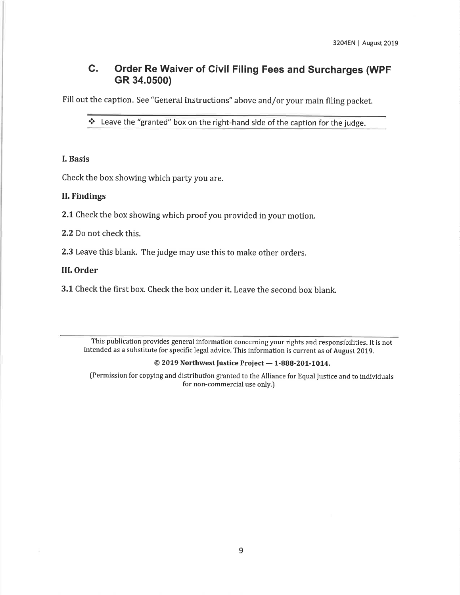### C. Order Re Waiver of Civil Filing Fees and Surcharges (WpF GR 34.0500)

Fill out the caption. See "General Instructions" above and/or your main filing packet.

\* Leave the "granted" box on the right-hand side of the caption for the judge.

#### I. Basis

Check the box showing which party you are.

#### II. Findings

2.1 Check the box showing which proof you provided in your motion.

2,2 Do not check this.

2.3 Leave this blank. The judge may use this to make other orders.

#### III. Order

3.1 check the first box. check the box under it, Leave the second box blank.

This publication provides general information concerning your rights and responsibilities. It is not intended as a substitute for specific legal advice. This information is current as of August 2019.

## $\odot$  2019 Northwest Justice Project — 1-888-201-1014.

(Permission for copying and distribution granted to the Alliance for Equal fustice and to individuals for non-commercial use only.)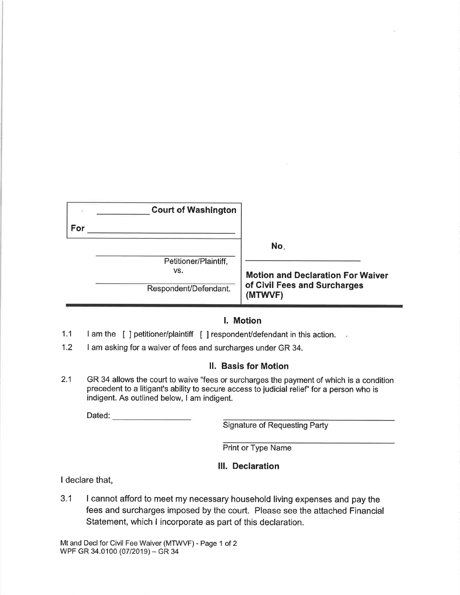|     | <b>Court of Washington</b> |                                          |
|-----|----------------------------|------------------------------------------|
| For |                            |                                          |
|     |                            | No.                                      |
|     | Petitioner/Plaintiff,      |                                          |
|     | VS.                        | <b>Motion and Declaration For Waiver</b> |
|     | Respondent/Defendant.      | of Civil Fees and Surcharges<br>(MTWVF)  |

#### l. Motion

- 1.1 I am the [ ] petitioner/plaintiff [ ] respondent/defendant in this action.
- 1.2 I am asking for a waiver of fees and surcharges under GR 34.

#### ll. Basis for Motion

2.1 GR 34 allows the court to waive "fees or surcharges the payment of which is a condition precedent to a litigant's ability to secure access to judicial relief' for a person who is indigent. As outlined below, I am indigent.

Dated:

Signature of Requesting Party

Print or Type Name

#### lll. Declaration

I declare that,

3.1 I cannot afford to meet my necessary household living expenses and pay the fees and surcharges imposed by the court. Please see the attached Financial Statement, which I incorporate as part of this declaration.

Mt and Decl for Civil Fee Waiver (MTWVF) - Page 1 of 2 WPF GR 34.0100 (07/2019) - GR 34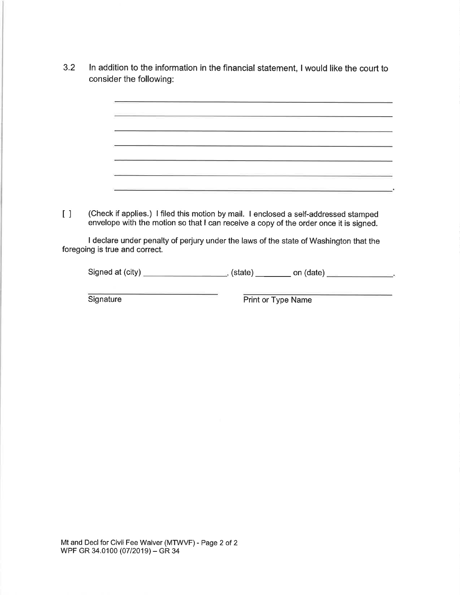- 3.2 ln addition to the information in the financial statement, I would like the court to consider the following:
- [] (Check if applies.) I filed this motion by mail. I enclosed a self-addressed stamped envelope with the motion so that I can receive a copy of the order once it is signed. I declare under penalty of perjury under the laws of the state of Washington that the foregoing is true and correct.

Signed at (city)  $\qquad \qquad$  (state)  $\qquad \qquad$  on (date)  $\qquad \qquad$ 

Signature **Print or Type Name** 

Mt and Decl for Civil Fee Waiver (MTWVF) - Page 2 of 2 WPF GR 34.0100 (07/2019) - GR 34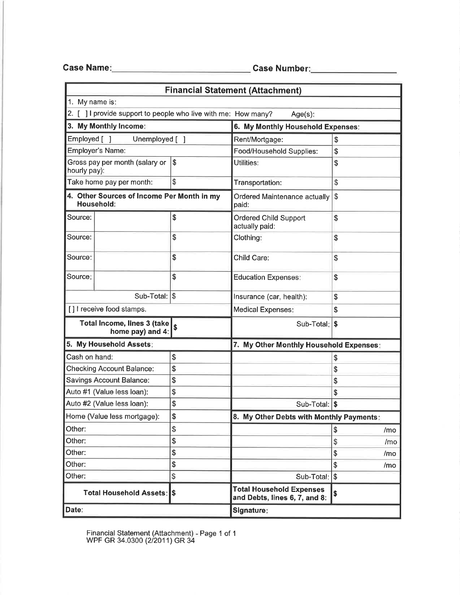Gase Name Case Numbe

|                                                                |    | <b>Financial Statement (Attachment)</b>                          |                      |  |
|----------------------------------------------------------------|----|------------------------------------------------------------------|----------------------|--|
| 1. My name is:                                                 |    |                                                                  |                      |  |
| 2. [ ] I provide support to people who live with me: How many? |    | $Age(s)$ :                                                       |                      |  |
| 3. My Monthly Income:                                          |    | 6. My Monthly Household Expenses:                                |                      |  |
| Employed [ ]<br>Unemployed []                                  |    | Rent/Mortgage:                                                   | \$                   |  |
| Employer's Name:                                               |    |                                                                  | \$                   |  |
| Gross pay per month (salary or<br>$\sqrt{3}$<br>hourly pay):   |    | Utilities:                                                       | \$                   |  |
| \$<br>Take home pay per month:                                 |    | Transportation:                                                  | \$                   |  |
| 4. Other Sources of Income Per Month in my<br>Household:       |    | Ordered Maintenance actually<br>paid:                            | \$                   |  |
| Source:                                                        | \$ | Ordered Child Support<br>actually paid:                          | \$                   |  |
| Source:                                                        | \$ | Clothing:                                                        | \$                   |  |
| Source:                                                        | \$ | Child Care:                                                      | \$                   |  |
| Source:                                                        | \$ | <b>Education Expenses:</b>                                       | \$                   |  |
| Sub-Total: \\$                                                 |    | Insurance (car, health):                                         | \$                   |  |
| [] I receive food stamps.                                      |    | <b>Medical Expenses:</b>                                         | \$                   |  |
| Total Income, lines 3 (take<br>\$<br>home pay) and 4:          |    | Sub-Total: \$                                                    |                      |  |
| 5. My Household Assets:                                        |    | 7. My Other Monthly Household Expenses:                          |                      |  |
| Cash on hand:                                                  | \$ |                                                                  | \$                   |  |
| <b>Checking Account Balance:</b>                               | \$ |                                                                  | \$                   |  |
| <b>Savings Account Balance:</b>                                | \$ |                                                                  | \$                   |  |
| Auto #1 (Value less loan):                                     | \$ |                                                                  | \$                   |  |
| Auto #2 (Value less loan):                                     | \$ |                                                                  | Sub-Total: \$        |  |
| \$<br>Home (Value less mortgage):                              |    | 8. My Other Debts with Monthly Payments:                         |                      |  |
| Other:                                                         | \$ |                                                                  | \$<br>/mo            |  |
| Other:                                                         | \$ |                                                                  | \$<br>/mo            |  |
| Other:                                                         | \$ |                                                                  | $\frac{1}{2}$<br>/mo |  |
| Other:                                                         | \$ |                                                                  | \$<br>/mo            |  |
| \$<br>Other:                                                   |    | Sub-Total:                                                       | $\sqrt{3}$           |  |
| Total Household Assets: S                                      |    | <b>Total Household Expenses</b><br>and Debts, lines 6, 7, and 8: | \$                   |  |
| Date:                                                          |    | Signature:                                                       |                      |  |

Financial Statement (Attachment) WPF GR 34.0300 (2/2011) GR 34 Page 1 of 1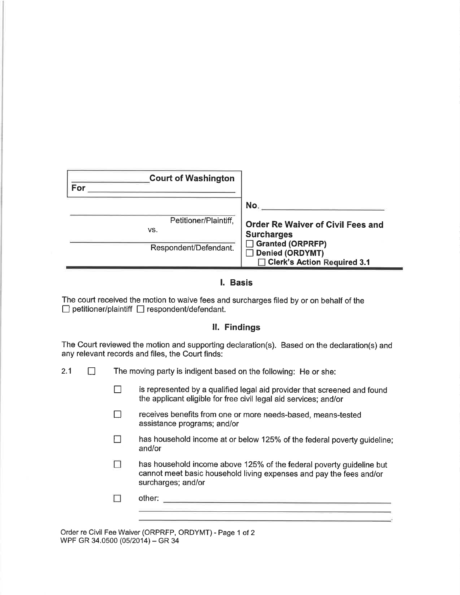| <b>Court of Washington</b>   |                                                               |
|------------------------------|---------------------------------------------------------------|
| For                          |                                                               |
|                              | No.                                                           |
| Petitioner/Plaintiff,<br>VS. | <b>Order Re Waiver of Civil Fees and</b><br><b>Surcharges</b> |
| Respondent/Defendant.        | □ Granted (ORPRFP)<br>◯ Denied (ORDYMT)                       |
|                              | Clerk's Action Required 3.1                                   |

#### l. Basis

The court received the motion to waive fees and surcharges filed by or on behalf of the  $\Box$  petitioner/plaintiff  $\Box$  respondent/defendant.

#### ll. Findings

The Court reviewed the motion and supporting declaration(s). Based on the declaration(s) and any relevant records and files, the Court finds:

- 2.1  $\Box$  The moving party is indigent based on the following: He or she:
	- $\Box$  is represented by a qualified legal aid provider that screened and found the applicant eligible for free civil legal aid services; and/or
	- **The receives benefits from one or more needs-based, means-tested** assistance programs; and/or
	- $\Box$  has household income at or below 125% of the federal poverty guideline; and/or
	- $\Box$ has household income above 125% of the federal poverty guideline but cannot meet basic household living expenses and pay the fees and/or surcharges; and/or

and the control of the control of the control of the control of

П other:

Order re Civil Fee Waiver (ORPRFP, ORDYMT) - Page 1 of 2 WPF GR 34.0500 (05/2014) - GR 34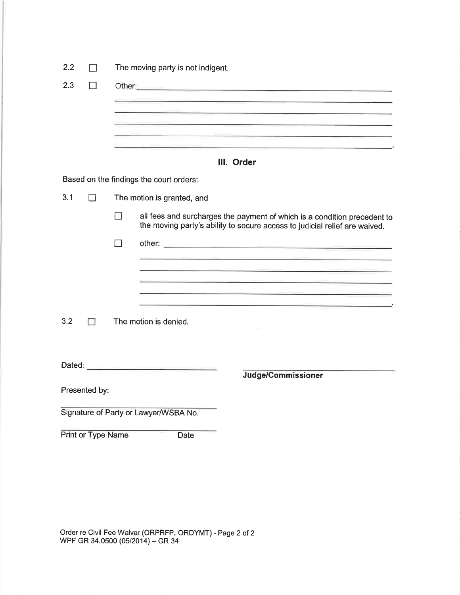| 2.2 |                    |                            | The moving party is not indigent.                                                                                                                                                                                                                                                                                                                                                                                                                               |  |
|-----|--------------------|----------------------------|-----------------------------------------------------------------------------------------------------------------------------------------------------------------------------------------------------------------------------------------------------------------------------------------------------------------------------------------------------------------------------------------------------------------------------------------------------------------|--|
| 2.3 | - 1                |                            | Other: experience and a series of the series of the series of the series of the series of the series of the series of the series of the series of the series of the series of the series of the series of the series of the se<br><u> Andrew Allen (* 1958)</u><br><u> 1989 - Johann Marie Barn, mars an t-Amerikaansk politiker (</u><br><u> 1989 - Andrea Andrea Andrea Andrea Andrea Andrea Andrea Andrea Andrea Andrea Andrea Andrea Andrea Andrea Andr</u> |  |
|     |                    |                            | III. Order                                                                                                                                                                                                                                                                                                                                                                                                                                                      |  |
|     |                    |                            | Based on the findings the court orders:                                                                                                                                                                                                                                                                                                                                                                                                                         |  |
| 3.1 | $\perp$            | The motion is granted, and |                                                                                                                                                                                                                                                                                                                                                                                                                                                                 |  |
|     |                    | ⊓                          | all fees and surcharges the payment of which is a condition precedent to<br>the moving party's ability to secure access to judicial relief are waived.                                                                                                                                                                                                                                                                                                          |  |
|     |                    | - 1                        |                                                                                                                                                                                                                                                                                                                                                                                                                                                                 |  |
|     |                    |                            | <u> Andreas Andreas Andreas Andreas Andreas Andreas Andreas Andreas Andreas Andreas Andreas Andreas Andreas Andreas</u><br><u> 1988 - Andrea Andrew Maria (1989), american estadounidense de la contrada de la contrada de la contrada de l</u><br><u> 1989 - Antonio Alemania (h. 1989).</u><br><u> 1999 - 1999 - 1999 - 1999 - 1999 - 1999 - 1999 - 1999 - 1999 - 1999 - 1999 - 1999 - 1999 - 1999 - 1999 - 199</u>                                           |  |
| 3.2 | Ħ                  |                            | The motion is denied.                                                                                                                                                                                                                                                                                                                                                                                                                                           |  |
|     |                    |                            |                                                                                                                                                                                                                                                                                                                                                                                                                                                                 |  |
|     | Presented by:      |                            | Judge/Commissioner                                                                                                                                                                                                                                                                                                                                                                                                                                              |  |
|     |                    |                            | Signature of Party or Lawyer/WSBA No.                                                                                                                                                                                                                                                                                                                                                                                                                           |  |
|     | Print or Type Name |                            | Date                                                                                                                                                                                                                                                                                                                                                                                                                                                            |  |

Order re Civil Fee Waiver (ORPRFP, ORDYMT) - Page 2 of 2 WPF GR 34.0500 (05/2014) – GR 34